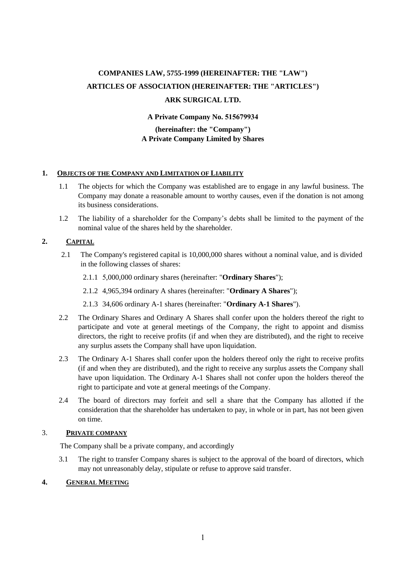### **COMPANIES LAW, 5755-1999 (HEREINAFTER: THE "LAW") ARTICLES OF ASSOCIATION (HEREINAFTER: THE "ARTICLES") ARK SURGICAL LTD.**

#### **A Private Company No. 515679934**

#### **(hereinafter: the "Company") A Private Company Limited by Shares**

#### **1. OBJECTS OF THE COMPANY AND LIMITATION OF LIABILITY**

- 1.1 The objects for which the Company was established are to engage in any lawful business. The Company may donate a reasonable amount to worthy causes, even if the donation is not among its business considerations.
- 1.2 The liability of a shareholder for the Company's debts shall be limited to the payment of the nominal value of the shares held by the shareholder.

#### **2. CAPITAL**

- 2.1 The Company's registered capital is 10,000,000 shares without a nominal value, and is divided in the following classes of shares:
	- 2.1.1 5,000,000 ordinary shares (hereinafter: "**Ordinary Shares**");
	- 2.1.2 4,965,394 ordinary A shares (hereinafter: "**Ordinary A Shares**");
	- 2.1.3 34,606 ordinary A-1 shares (hereinafter: "**Ordinary A-1 Shares**").
- 2.2 The Ordinary Shares and Ordinary A Shares shall confer upon the holders thereof the right to participate and vote at general meetings of the Company, the right to appoint and dismiss directors, the right to receive profits (if and when they are distributed), and the right to receive any surplus assets the Company shall have upon liquidation.
- 2.3 The Ordinary A-1 Shares shall confer upon the holders thereof only the right to receive profits (if and when they are distributed), and the right to receive any surplus assets the Company shall have upon liquidation. The Ordinary A-1 Shares shall not confer upon the holders thereof the right to participate and vote at general meetings of the Company.
- 2.4 The board of directors may forfeit and sell a share that the Company has allotted if the consideration that the shareholder has undertaken to pay, in whole or in part, has not been given on time.

#### 3. **PRIVATE COMPANY**

The Company shall be a private company, and accordingly

3.1 The right to transfer Company shares is subject to the approval of the board of directors, which may not unreasonably delay, stipulate or refuse to approve said transfer.

#### **4. GENERAL MEETING**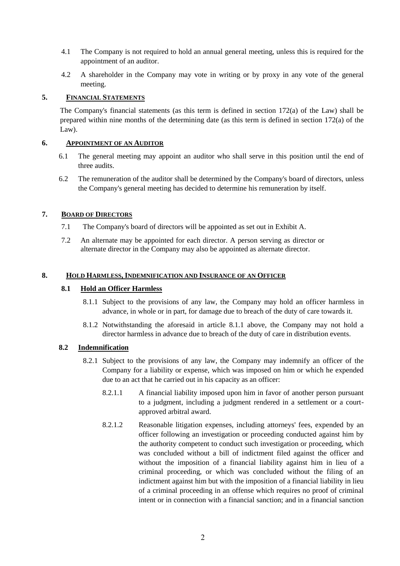- 4.1 The Company is not required to hold an annual general meeting, unless this is required for the appointment of an auditor.
- 4.2 A shareholder in the Company may vote in writing or by proxy in any vote of the general meeting.

#### **5. FINANCIAL STATEMENTS**

The Company's financial statements (as this term is defined in section  $172(a)$  of the Law) shall be prepared within nine months of the determining date (as this term is defined in section 172(a) of the Law).

#### **6. APPOINTMENT OF AN AUDITOR**

- 6.1 The general meeting may appoint an auditor who shall serve in this position until the end of three audits.
- 6.2 The remuneration of the auditor shall be determined by the Company's board of directors, unless the Company's general meeting has decided to determine his remuneration by itself.

#### **7. BOARD OF DIRECTORS**

- 7.1 The Company's board of directors will be appointed as set out in Exhibit A.
- 7.2 An alternate may be appointed for each director. A person serving as director or alternate director in the Company may also be appointed as alternate director.

#### **8. HOLD HARMLESS, INDEMNIFICATION AND INSURANCE OF AN OFFICER**

#### **8.1 Hold an Officer Harmless**

- 8.1.1 Subject to the provisions of any law, the Company may hold an officer harmless in advance, in whole or in part, for damage due to breach of the duty of care towards it.
- 8.1.2 Notwithstanding the aforesaid in article 8.1.1 above, the Company may not hold a director harmless in advance due to breach of the duty of care in distribution events.

#### **8.2 Indemnification**

- 8.2.1 Subject to the provisions of any law, the Company may indemnify an officer of the Company for a liability or expense, which was imposed on him or which he expended due to an act that he carried out in his capacity as an officer:
	- 8.2.1.1 A financial liability imposed upon him in favor of another person pursuant to a judgment, including a judgment rendered in a settlement or a courtapproved arbitral award.
	- 8.2.1.2 Reasonable litigation expenses, including attorneys' fees, expended by an officer following an investigation or proceeding conducted against him by the authority competent to conduct such investigation or proceeding, which was concluded without a bill of indictment filed against the officer and without the imposition of a financial liability against him in lieu of a criminal proceeding, or which was concluded without the filing of an indictment against him but with the imposition of a financial liability in lieu of a criminal proceeding in an offense which requires no proof of criminal intent or in connection with a financial sanction; and in a financial sanction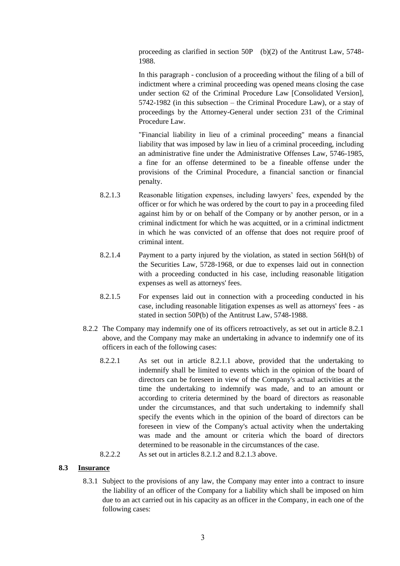proceeding as clarified in section 50P (b)(2) of the Antitrust Law, 5748- 1988.

In this paragraph - conclusion of a proceeding without the filing of a bill of indictment where a criminal proceeding was opened means closing the case under section 62 of the Criminal Procedure Law [Consolidated Version], 5742-1982 (in this subsection – the Criminal Procedure Law), or a stay of proceedings by the Attorney-General under section 231 of the Criminal Procedure Law.

"Financial liability in lieu of a criminal proceeding" means a financial liability that was imposed by law in lieu of a criminal proceeding, including an administrative fine under the Administrative Offenses Law, 5746-1985, a fine for an offense determined to be a fineable offense under the provisions of the Criminal Procedure, a financial sanction or financial penalty.

- 8.2.1.3 Reasonable litigation expenses, including lawyers' fees, expended by the officer or for which he was ordered by the court to pay in a proceeding filed against him by or on behalf of the Company or by another person, or in a criminal indictment for which he was acquitted, or in a criminal indictment in which he was convicted of an offense that does not require proof of criminal intent.
- 8.2.1.4 Payment to a party injured by the violation, as stated in section 56H(b) of the Securities Law, 5728-1968, or due to expenses laid out in connection with a proceeding conducted in his case, including reasonable litigation expenses as well as attorneys' fees.
- 8.2.1.5 For expenses laid out in connection with a proceeding conducted in his case, including reasonable litigation expenses as well as attorneys' fees - as stated in section 50P(b) of the Antitrust Law, 5748-1988.
- 8.2.2 The Company may indemnify one of its officers retroactively, as set out in article 8.2.1 above, and the Company may make an undertaking in advance to indemnify one of its officers in each of the following cases:
	- 8.2.2.1 As set out in article 8.2.1.1 above, provided that the undertaking to indemnify shall be limited to events which in the opinion of the board of directors can be foreseen in view of the Company's actual activities at the time the undertaking to indemnify was made, and to an amount or according to criteria determined by the board of directors as reasonable under the circumstances, and that such undertaking to indemnify shall specify the events which in the opinion of the board of directors can be foreseen in view of the Company's actual activity when the undertaking was made and the amount or criteria which the board of directors determined to be reasonable in the circumstances of the case.

8.2.2.2 As set out in articles 8.2.1.2 and 8.2.1.3 above.

#### **8.3 Insurance**

8.3.1 Subject to the provisions of any law, the Company may enter into a contract to insure the liability of an officer of the Company for a liability which shall be imposed on him due to an act carried out in his capacity as an officer in the Company, in each one of the following cases: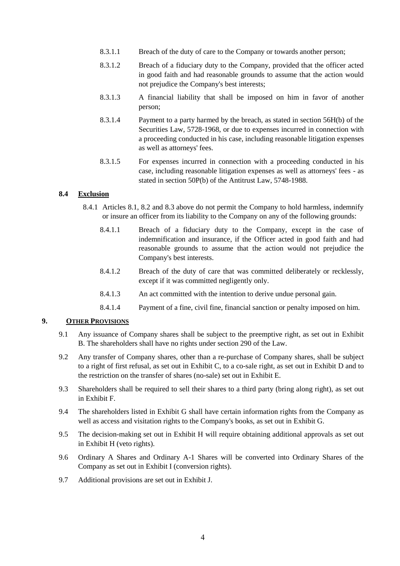- 8.3.1.1 Breach of the duty of care to the Company or towards another person;
- 8.3.1.2 Breach of a fiduciary duty to the Company, provided that the officer acted in good faith and had reasonable grounds to assume that the action would not prejudice the Company's best interests;
- 8.3.1.3 A financial liability that shall be imposed on him in favor of another person;
- 8.3.1.4 Payment to a party harmed by the breach, as stated in section 56H(b) of the Securities Law, 5728-1968, or due to expenses incurred in connection with a proceeding conducted in his case, including reasonable litigation expenses as well as attorneys' fees.
- 8.3.1.5 For expenses incurred in connection with a proceeding conducted in his case, including reasonable litigation expenses as well as attorneys' fees - as stated in section 50P(b) of the Antitrust Law, 5748-1988.

#### **8.4 Exclusion**

- 8.4.1 Articles 8.1, 8.2 and 8.3 above do not permit the Company to hold harmless, indemnify or insure an officer from its liability to the Company on any of the following grounds:
	- 8.4.1.1 Breach of a fiduciary duty to the Company, except in the case of indemnification and insurance, if the Officer acted in good faith and had reasonable grounds to assume that the action would not prejudice the Company's best interests.
	- 8.4.1.2 Breach of the duty of care that was committed deliberately or recklessly, except if it was committed negligently only.
	- 8.4.1.3 An act committed with the intention to derive undue personal gain.
	- 8.4.1.4 Payment of a fine, civil fine, financial sanction or penalty imposed on him.

#### **9. OTHER PROVISIONS**

- 9.1 Any issuance of Company shares shall be subject to the preemptive right, as set out in Exhibit B. The shareholders shall have no rights under section 290 of the Law.
- 9.2 Any transfer of Company shares, other than a re-purchase of Company shares, shall be subject to a right of first refusal, as set out in Exhibit C, to a co-sale right, as set out in Exhibit D and to the restriction on the transfer of shares (no-sale) set out in Exhibit E.
- 9.3 Shareholders shall be required to sell their shares to a third party (bring along right), as set out in Exhibit F.
- 9.4 The shareholders listed in Exhibit G shall have certain information rights from the Company as well as access and visitation rights to the Company's books, as set out in Exhibit G.
- 9.5 The decision-making set out in Exhibit H will require obtaining additional approvals as set out in Exhibit H (veto rights).
- 9.6 Ordinary A Shares and Ordinary A-1 Shares will be converted into Ordinary Shares of the Company as set out in Exhibit I (conversion rights).
- 9.7 Additional provisions are set out in Exhibit J.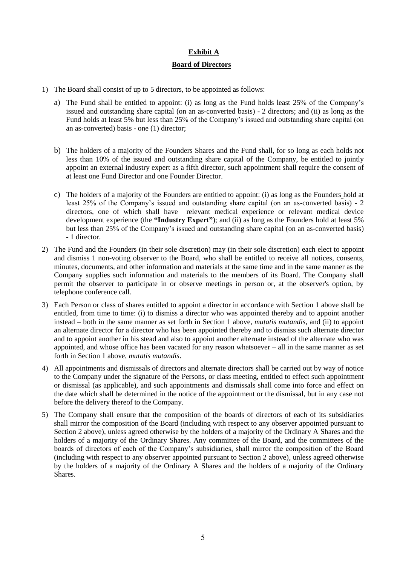#### **Exhibit A**

#### **Board of Directors**

- 1) The Board shall consist of up to 5 directors, to be appointed as follows:
	- a) The Fund shall be entitled to appoint: (i) as long as the Fund holds least 25% of the Company's issued and outstanding share capital (on an as-converted basis) - 2 directors; and (ii) as long as the Fund holds at least 5% but less than 25% of the Company's issued and outstanding share capital (on an as-converted) basis - one (1) director;
	- b) The holders of a majority of the Founders Shares and the Fund shall, for so long as each holds not less than 10% of the issued and outstanding share capital of the Company, be entitled to jointly appoint an external industry expert as a fifth director, such appointment shall require the consent of at least one Fund Director and one Founder Director.
	- c) The holders of a majority of the Founders are entitled to appoint: (i) as long as the Founders hold at least 25% of the Company's issued and outstanding share capital (on an as-converted basis) - 2 directors, one of which shall have relevant medical experience or relevant medical device development experience (the **"Industry Expert"**); and (ii) as long as the Founders hold at least 5% but less than 25% of the Company's issued and outstanding share capital (on an as-converted basis) - 1 director.
- 2) The Fund and the Founders (in their sole discretion) may (in their sole discretion) each elect to appoint and dismiss 1 non-voting observer to the Board, who shall be entitled to receive all notices, consents, minutes, documents, and other information and materials at the same time and in the same manner as the Company supplies such information and materials to the members of its Board. The Company shall permit the observer to participate in or observe meetings in person or, at the observer's option, by telephone conference call.
- 3) Each Person or class of shares entitled to appoint a director in accordance with Section 1 above shall be entitled, from time to time: (i) to dismiss a director who was appointed thereby and to appoint another instead – both in the same manner as set forth in Section 1 above, *mutatis mutandis*, and (ii) to appoint an alternate director for a director who has been appointed thereby and to dismiss such alternate director and to appoint another in his stead and also to appoint another alternate instead of the alternate who was appointed, and whose office has been vacated for any reason whatsoever – all in the same manner as set forth in Section 1 above, *mutatis mutandis*.
- 4) All appointments and dismissals of directors and alternate directors shall be carried out by way of notice to the Company under the signature of the Persons, or class meeting, entitled to effect such appointment or dismissal (as applicable), and such appointments and dismissals shall come into force and effect on the date which shall be determined in the notice of the appointment or the dismissal, but in any case not before the delivery thereof to the Company.
- 5) The Company shall ensure that the composition of the boards of directors of each of its subsidiaries shall mirror the composition of the Board (including with respect to any observer appointed pursuant to Section 2 above), unless agreed otherwise by the holders of a majority of the Ordinary A Shares and the holders of a majority of the Ordinary Shares. Any committee of the Board, and the committees of the boards of directors of each of the Company's subsidiaries, shall mirror the composition of the Board (including with respect to any observer appointed pursuant to Section 2 above), unless agreed otherwise by the holders of a majority of the Ordinary A Shares and the holders of a majority of the Ordinary **Shares**.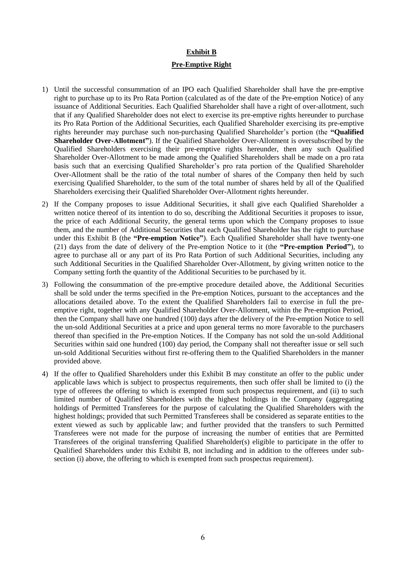#### **Exhibit B**

#### **Pre-Emptive Right**

- 1) Until the successful consummation of an IPO each Qualified Shareholder shall have the pre-emptive right to purchase up to its Pro Rata Portion (calculated as of the date of the Pre-emption Notice) of any issuance of Additional Securities. Each Qualified Shareholder shall have a right of over-allotment, such that if any Qualified Shareholder does not elect to exercise its pre-emptive rights hereunder to purchase its Pro Rata Portion of the Additional Securities, each Qualified Shareholder exercising its pre-emptive rights hereunder may purchase such non-purchasing Qualified Shareholder's portion (the **"Qualified Shareholder Over-Allotment"**). If the Qualified Shareholder Over-Allotment is oversubscribed by the Qualified Shareholders exercising their pre-emptive rights hereunder, then any such Qualified Shareholder Over-Allotment to be made among the Qualified Shareholders shall be made on a pro rata basis such that an exercising Qualified Shareholder's pro rata portion of the Qualified Shareholder Over-Allotment shall be the ratio of the total number of shares of the Company then held by such exercising Qualified Shareholder, to the sum of the total number of shares held by all of the Qualified Shareholders exercising their Qualified Shareholder Over-Allotment rights hereunder.
- 2) If the Company proposes to issue Additional Securities, it shall give each Qualified Shareholder a written notice thereof of its intention to do so, describing the Additional Securities it proposes to issue, the price of each Additional Security, the general terms upon which the Company proposes to issue them, and the number of Additional Securities that each Qualified Shareholder has the right to purchase under this Exhibit B (the **"Pre-emption Notice"**). Each Qualified Shareholder shall have twenty-one (21) days from the date of delivery of the Pre-emption Notice to it (the **"Pre-emption Period"**), to agree to purchase all or any part of its Pro Rata Portion of such Additional Securities, including any such Additional Securities in the Qualified Shareholder Over-Allotment, by giving written notice to the Company setting forth the quantity of the Additional Securities to be purchased by it.
- 3) Following the consummation of the pre-emptive procedure detailed above, the Additional Securities shall be sold under the terms specified in the Pre-emption Notices, pursuant to the acceptances and the allocations detailed above. To the extent the Qualified Shareholders fail to exercise in full the preemptive right, together with any Qualified Shareholder Over-Allotment, within the Pre-emption Period, then the Company shall have one hundred (100) days after the delivery of the Pre-emption Notice to sell the un-sold Additional Securities at a price and upon general terms no more favorable to the purchasers thereof than specified in the Pre-emption Notices. If the Company has not sold the un-sold Additional Securities within said one hundred (100) day period, the Company shall not thereafter issue or sell such un-sold Additional Securities without first re-offering them to the Qualified Shareholders in the manner provided above.
- 4) If the offer to Qualified Shareholders under this Exhibit B may constitute an offer to the public under applicable laws which is subject to prospectus requirements, then such offer shall be limited to (i) the type of offerees the offering to which is exempted from such prospectus requirement, and (ii) to such limited number of Qualified Shareholders with the highest holdings in the Company (aggregating holdings of Permitted Transferees for the purpose of calculating the Qualified Shareholders with the highest holdings; provided that such Permitted Transferees shall be considered as separate entities to the extent viewed as such by applicable law; and further provided that the transfers to such Permitted Transferees were not made for the purpose of increasing the number of entities that are Permitted Transferees of the original transferring Qualified Shareholder(s) eligible to participate in the offer to Qualified Shareholders under this Exhibit B, not including and in addition to the offerees under subsection (i) above, the offering to which is exempted from such prospectus requirement).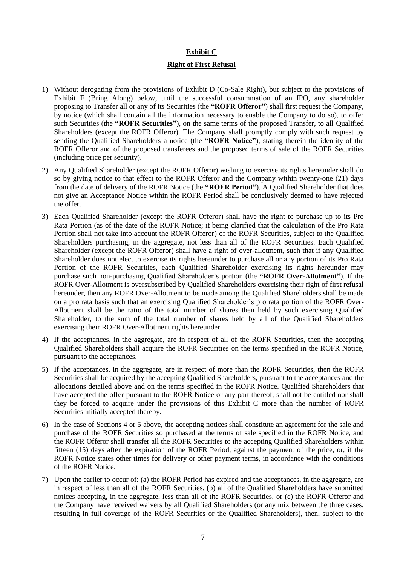### **Exhibit C**

#### **Right of First Refusal**

- 1) Without derogating from the provisions of Exhibit D (Co-Sale Right), but subject to the provisions of Exhibit F (Bring Along) below, until the successful consummation of an IPO, any shareholder proposing to Transfer all or any of its Securities (the **"ROFR Offeror"**) shall first request the Company, by notice (which shall contain all the information necessary to enable the Company to do so), to offer such Securities (the **"ROFR Securities"**), on the same terms of the proposed Transfer, to all Qualified Shareholders (except the ROFR Offeror). The Company shall promptly comply with such request by sending the Qualified Shareholders a notice (the **"ROFR Notice"**), stating therein the identity of the ROFR Offeror and of the proposed transferees and the proposed terms of sale of the ROFR Securities (including price per security).
- 2) Any Qualified Shareholder (except the ROFR Offeror) wishing to exercise its rights hereunder shall do so by giving notice to that effect to the ROFR Offeror and the Company within twenty-one (21) days from the date of delivery of the ROFR Notice (the **"ROFR Period"**). A Qualified Shareholder that does not give an Acceptance Notice within the ROFR Period shall be conclusively deemed to have rejected the offer.
- 3) Each Qualified Shareholder (except the ROFR Offeror) shall have the right to purchase up to its Pro Rata Portion (as of the date of the ROFR Notice; it being clarified that the calculation of the Pro Rata Portion shall not take into account the ROFR Offeror) of the ROFR Securities, subject to the Qualified Shareholders purchasing, in the aggregate, not less than all of the ROFR Securities. Each Qualified Shareholder (except the ROFR Offeror) shall have a right of over-allotment, such that if any Qualified Shareholder does not elect to exercise its rights hereunder to purchase all or any portion of its Pro Rata Portion of the ROFR Securities, each Qualified Shareholder exercising its rights hereunder may purchase such non-purchasing Qualified Shareholder's portion (the **"ROFR Over-Allotment"**). If the ROFR Over-Allotment is oversubscribed by Qualified Shareholders exercising their right of first refusal hereunder, then any ROFR Over-Allotment to be made among the Qualified Shareholders shall be made on a pro rata basis such that an exercising Qualified Shareholder's pro rata portion of the ROFR Over-Allotment shall be the ratio of the total number of shares then held by such exercising Qualified Shareholder, to the sum of the total number of shares held by all of the Qualified Shareholders exercising their ROFR Over-Allotment rights hereunder.
- 4) If the acceptances, in the aggregate, are in respect of all of the ROFR Securities, then the accepting Qualified Shareholders shall acquire the ROFR Securities on the terms specified in the ROFR Notice, pursuant to the acceptances.
- 5) If the acceptances, in the aggregate, are in respect of more than the ROFR Securities, then the ROFR Securities shall be acquired by the accepting Qualified Shareholders, pursuant to the acceptances and the allocations detailed above and on the terms specified in the ROFR Notice. Qualified Shareholders that have accepted the offer pursuant to the ROFR Notice or any part thereof, shall not be entitled nor shall they be forced to acquire under the provisions of this Exhibit C more than the number of ROFR Securities initially accepted thereby.
- 6) In the case of Sections 4 or 5 above, the accepting notices shall constitute an agreement for the sale and purchase of the ROFR Securities so purchased at the terms of sale specified in the ROFR Notice, and the ROFR Offeror shall transfer all the ROFR Securities to the accepting Qualified Shareholders within fifteen (15) days after the expiration of the ROFR Period, against the payment of the price, or, if the ROFR Notice states other times for delivery or other payment terms, in accordance with the conditions of the ROFR Notice.
- 7) Upon the earlier to occur of: (a) the ROFR Period has expired and the acceptances, in the aggregate, are in respect of less than all of the ROFR Securities, (b) all of the Qualified Shareholders have submitted notices accepting, in the aggregate, less than all of the ROFR Securities, or (c) the ROFR Offeror and the Company have received waivers by all Qualified Shareholders (or any mix between the three cases, resulting in full coverage of the ROFR Securities or the Qualified Shareholders), then, subject to the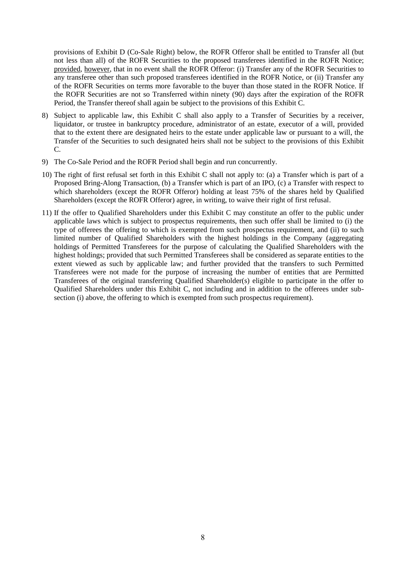provisions of Exhibit D (Co-Sale Right) below, the ROFR Offeror shall be entitled to Transfer all (but not less than all) of the ROFR Securities to the proposed transferees identified in the ROFR Notice; provided, however, that in no event shall the ROFR Offeror: (i) Transfer any of the ROFR Securities to any transferee other than such proposed transferees identified in the ROFR Notice, or (ii) Transfer any of the ROFR Securities on terms more favorable to the buyer than those stated in the ROFR Notice. If the ROFR Securities are not so Transferred within ninety (90) days after the expiration of the ROFR Period, the Transfer thereof shall again be subject to the provisions of this Exhibit C.

- 8) Subject to applicable law, this Exhibit C shall also apply to a Transfer of Securities by a receiver, liquidator, or trustee in bankruptcy procedure, administrator of an estate, executor of a will, provided that to the extent there are designated heirs to the estate under applicable law or pursuant to a will, the Transfer of the Securities to such designated heirs shall not be subject to the provisions of this Exhibit  $C_{\cdot}$
- 9) The Co-Sale Period and the ROFR Period shall begin and run concurrently.
- 10) The right of first refusal set forth in this Exhibit C shall not apply to: (a) a Transfer which is part of a Proposed Bring-Along Transaction, (b) a Transfer which is part of an IPO, (c) a Transfer with respect to which shareholders (except the ROFR Offeror) holding at least 75% of the shares held by Qualified Shareholders (except the ROFR Offeror) agree, in writing, to waive their right of first refusal.
- 11) If the offer to Qualified Shareholders under this Exhibit C may constitute an offer to the public under applicable laws which is subject to prospectus requirements, then such offer shall be limited to (i) the type of offerees the offering to which is exempted from such prospectus requirement, and (ii) to such limited number of Qualified Shareholders with the highest holdings in the Company (aggregating holdings of Permitted Transferees for the purpose of calculating the Qualified Shareholders with the highest holdings; provided that such Permitted Transferees shall be considered as separate entities to the extent viewed as such by applicable law; and further provided that the transfers to such Permitted Transferees were not made for the purpose of increasing the number of entities that are Permitted Transferees of the original transferring Qualified Shareholder(s) eligible to participate in the offer to Qualified Shareholders under this Exhibit C, not including and in addition to the offerees under subsection (i) above, the offering to which is exempted from such prospectus requirement).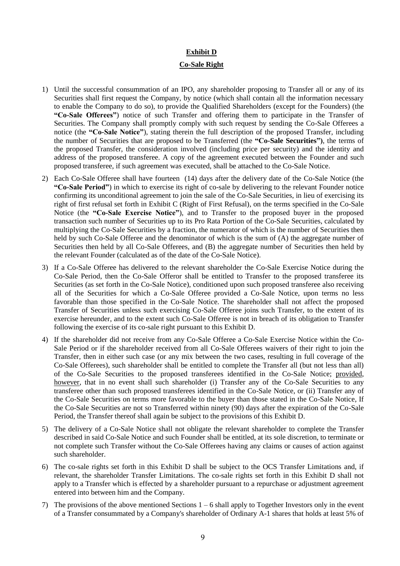### **Exhibit D Co-Sale Right**

- 1) Until the successful consummation of an IPO, any shareholder proposing to Transfer all or any of its Securities shall first request the Company, by notice (which shall contain all the information necessary to enable the Company to do so), to provide the Qualified Shareholders (except for the Founders) (the **"Co-Sale Offerees"**) notice of such Transfer and offering them to participate in the Transfer of Securities. The Company shall promptly comply with such request by sending the Co-Sale Offerees a notice (the **"Co-Sale Notice"**), stating therein the full description of the proposed Transfer, including the number of Securities that are proposed to be Transferred (the **"Co-Sale Securities")**, the terms of the proposed Transfer, the consideration involved (including price per security) and the identity and address of the proposed transferee. A copy of the agreement executed between the Founder and such proposed transferee, if such agreement was executed, shall be attached to the Co-Sale Notice.
- 2) Each Co-Sale Offeree shall have fourteen (14) days after the delivery date of the Co-Sale Notice (the **"Co-Sale Period"**) in which to exercise its right of co-sale by delivering to the relevant Founder notice confirming its unconditional agreement to join the sale of the Co-Sale Securities, in lieu of exercising its right of first refusal set forth in Exhibit C (Right of First Refusal), on the terms specified in the Co-Sale Notice (the **"Co-Sale Exercise Notice"**), and to Transfer to the proposed buyer in the proposed transaction such number of Securities up to its Pro Rata Portion of the Co-Sale Securities, calculated by multiplying the Co-Sale Securities by a fraction, the numerator of which is the number of Securities then held by such Co-Sale Offeree and the denominator of which is the sum of (A) the aggregate number of Securities then held by all Co-Sale Offerees, and (B) the aggregate number of Securities then held by the relevant Founder (calculated as of the date of the Co-Sale Notice).
- 3) If a Co-Sale Offeree has delivered to the relevant shareholder the Co-Sale Exercise Notice during the Co-Sale Period, then the Co-Sale Offeror shall be entitled to Transfer to the proposed transferee its Securities (as set forth in the Co-Sale Notice), conditioned upon such proposed transferee also receiving all of the Securities for which a Co-Sale Offeree provided a Co-Sale Notice, upon terms no less favorable than those specified in the Co-Sale Notice. The shareholder shall not affect the proposed Transfer of Securities unless such exercising Co-Sale Offeree joins such Transfer, to the extent of its exercise hereunder, and to the extent such Co-Sale Offeree is not in breach of its obligation to Transfer following the exercise of its co-sale right pursuant to this Exhibit D.
- 4) If the shareholder did not receive from any Co-Sale Offeree a Co-Sale Exercise Notice within the Co-Sale Period or if the shareholder received from all Co-Sale Offerees waivers of their right to join the Transfer, then in either such case (or any mix between the two cases, resulting in full coverage of the Co-Sale Offerees), such shareholder shall be entitled to complete the Transfer all (but not less than all) of the Co-Sale Securities to the proposed transferees identified in the Co-Sale Notice; provided, however, that in no event shall such shareholder (i) Transfer any of the Co-Sale Securities to any transferee other than such proposed transferees identified in the Co-Sale Notice, or (ii) Transfer any of the Co-Sale Securities on terms more favorable to the buyer than those stated in the Co-Sale Notice, If the Co-Sale Securities are not so Transferred within ninety (90) days after the expiration of the Co-Sale Period, the Transfer thereof shall again be subject to the provisions of this Exhibit D.
- 5) The delivery of a Co-Sale Notice shall not obligate the relevant shareholder to complete the Transfer described in said Co-Sale Notice and such Founder shall be entitled, at its sole discretion, to terminate or not complete such Transfer without the Co-Sale Offerees having any claims or causes of action against such shareholder.
- 6) The co-sale rights set forth in this Exhibit D shall be subject to the OCS Transfer Limitations and, if relevant, the shareholder Transfer Limitations. The co-sale rights set forth in this Exhibit D shall not apply to a Transfer which is effected by a shareholder pursuant to a repurchase or adjustment agreement entered into between him and the Company.
- 7) The provisions of the above mentioned Sections  $1 6$  shall apply to Together Investors only in the event of a Transfer consummated by a Company's shareholder of Ordinary A-1 shares that holds at least 5% of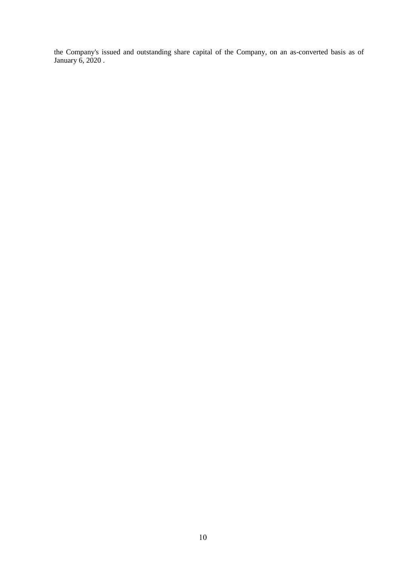the Company's issued and outstanding share capital of the Company, on an as-converted basis as of January 6, 2020 .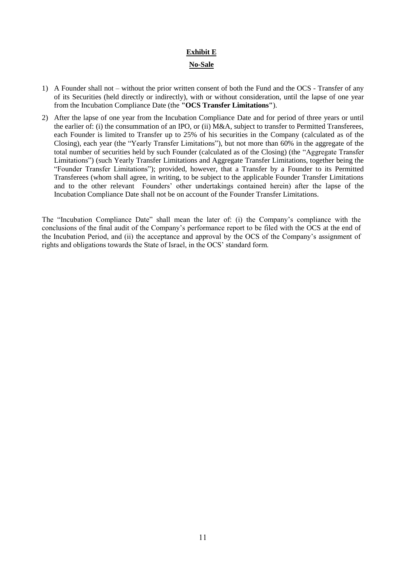### **Exhibit E No-Sale**

- 1) A Founder shall not without the prior written consent of both the Fund and the OCS Transfer of any of its Securities (held directly or indirectly), with or without consideration, until the lapse of one year from the Incubation Compliance Date (the **"OCS Transfer Limitations"**).
- 2) After the lapse of one year from the Incubation Compliance Date and for period of three years or until the earlier of: (i) the consummation of an IPO, or (ii) M&A, subject to transfer to Permitted Transferees, each Founder is limited to Transfer up to 25% of his securities in the Company (calculated as of the Closing), each year (the "Yearly Transfer Limitations"), but not more than 60% in the aggregate of the total number of securities held by such Founder (calculated as of the Closing) (the "Aggregate Transfer Limitations") (such Yearly Transfer Limitations and Aggregate Transfer Limitations, together being the "Founder Transfer Limitations"); provided, however, that a Transfer by a Founder to its Permitted Transferees (whom shall agree, in writing, to be subject to the applicable Founder Transfer Limitations and to the other relevant Founders' other undertakings contained herein) after the lapse of the Incubation Compliance Date shall not be on account of the Founder Transfer Limitations.

The "Incubation Compliance Date" shall mean the later of: (i) the Company's compliance with the conclusions of the final audit of the Company's performance report to be filed with the OCS at the end of the Incubation Period, and (ii) the acceptance and approval by the OCS of the Company's assignment of rights and obligations towards the State of Israel, in the OCS' standard form.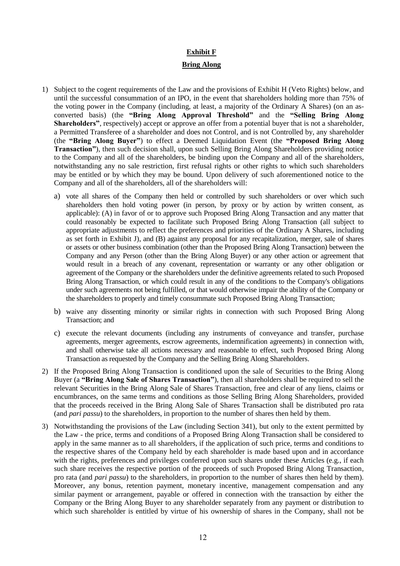#### **Exhibit F**

#### **Bring Along**

- 1) Subject to the cogent requirements of the Law and the provisions of Exhibit H (Veto Rights) below, and until the successful consummation of an IPO, in the event that shareholders holding more than 75% of the voting power in the Company (including, at least, a majority of the Ordinary A Shares) (on an asconverted basis) (the **"Bring Along Approval Threshold"** and the **"Selling Bring Along Shareholders"**, respectively) accept or approve an offer from a potential buyer that is not a shareholder, a Permitted Transferee of a shareholder and does not Control, and is not Controlled by, any shareholder (the **"Bring Along Buyer"**) to effect a Deemed Liquidation Event (the **"Proposed Bring Along Transaction"**), then such decision shall, upon such Selling Bring Along Shareholders providing notice to the Company and all of the shareholders, be binding upon the Company and all of the shareholders, notwithstanding any no sale restriction, first refusal rights or other rights to which such shareholders may be entitled or by which they may be bound. Upon delivery of such aforementioned notice to the Company and all of the shareholders, all of the shareholders will:
	- a) vote all shares of the Company then held or controlled by such shareholders or over which such shareholders then hold voting power (in person, by proxy or by action by written consent, as applicable): (A) in favor of or to approve such Proposed Bring Along Transaction and any matter that could reasonably be expected to facilitate such Proposed Bring Along Transaction (all subject to appropriate adjustments to reflect the preferences and priorities of the Ordinary A Shares, including as set forth in Exhibit J), and (B) against any proposal for any recapitalization, merger, sale of shares or assets or other business combination (other than the Proposed Bring Along Transaction) between the Company and any Person (other than the Bring Along Buyer) or any other action or agreement that would result in a breach of any covenant, representation or warranty or any other obligation or agreement of the Company or the shareholders under the definitive agreements related to such Proposed Bring Along Transaction, or which could result in any of the conditions to the Company's obligations under such agreements not being fulfilled, or that would otherwise impair the ability of the Company or the shareholders to properly and timely consummate such Proposed Bring Along Transaction;
	- b) waive any dissenting minority or similar rights in connection with such Proposed Bring Along Transaction; and
	- c) execute the relevant documents (including any instruments of conveyance and transfer, purchase agreements, merger agreements, escrow agreements, indemnification agreements) in connection with, and shall otherwise take all actions necessary and reasonable to effect, such Proposed Bring Along Transaction as requested by the Company and the Selling Bring Along Shareholders.
- 2) If the Proposed Bring Along Transaction is conditioned upon the sale of Securities to the Bring Along Buyer (a **"Bring Along Sale of Shares Transaction"**), then all shareholders shall be required to sell the relevant Securities in the Bring Along Sale of Shares Transaction, free and clear of any liens, claims or encumbrances, on the same terms and conditions as those Selling Bring Along Shareholders, provided that the proceeds received in the Bring Along Sale of Shares Transaction shall be distributed pro rata (and *pari passu*) to the shareholders, in proportion to the number of shares then held by them.
- 3) Notwithstanding the provisions of the Law (including Section 341), but only to the extent permitted by the Law - the price, terms and conditions of a Proposed Bring Along Transaction shall be considered to apply in the same manner as to all shareholders, if the application of such price, terms and conditions to the respective shares of the Company held by each shareholder is made based upon and in accordance with the rights, preferences and privileges conferred upon such shares under these Articles (e.g., if each such share receives the respective portion of the proceeds of such Proposed Bring Along Transaction, pro rata (and *pari passu*) to the shareholders, in proportion to the number of shares then held by them). Moreover, any bonus, retention payment, monetary incentive, management compensation and any similar payment or arrangement, payable or offered in connection with the transaction by either the Company or the Bring Along Buyer to any shareholder separately from any payment or distribution to which such shareholder is entitled by virtue of his ownership of shares in the Company, shall not be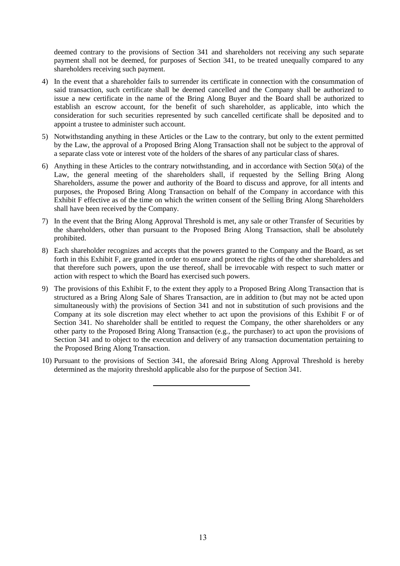deemed contrary to the provisions of Section 341 and shareholders not receiving any such separate payment shall not be deemed, for purposes of Section 341, to be treated unequally compared to any shareholders receiving such payment.

- 4) In the event that a shareholder fails to surrender its certificate in connection with the consummation of said transaction, such certificate shall be deemed cancelled and the Company shall be authorized to issue a new certificate in the name of the Bring Along Buyer and the Board shall be authorized to establish an escrow account, for the benefit of such shareholder, as applicable, into which the consideration for such securities represented by such cancelled certificate shall be deposited and to appoint a trustee to administer such account.
- 5) Notwithstanding anything in these Articles or the Law to the contrary, but only to the extent permitted by the Law, the approval of a Proposed Bring Along Transaction shall not be subject to the approval of a separate class vote or interest vote of the holders of the shares of any particular class of shares.
- 6) Anything in these Articles to the contrary notwithstanding, and in accordance with Section 50(a) of the Law, the general meeting of the shareholders shall, if requested by the Selling Bring Along Shareholders, assume the power and authority of the Board to discuss and approve, for all intents and purposes, the Proposed Bring Along Transaction on behalf of the Company in accordance with this Exhibit F effective as of the time on which the written consent of the Selling Bring Along Shareholders shall have been received by the Company.
- 7) In the event that the Bring Along Approval Threshold is met, any sale or other Transfer of Securities by the shareholders, other than pursuant to the Proposed Bring Along Transaction, shall be absolutely prohibited.
- 8) Each shareholder recognizes and accepts that the powers granted to the Company and the Board, as set forth in this Exhibit F, are granted in order to ensure and protect the rights of the other shareholders and that therefore such powers, upon the use thereof, shall be irrevocable with respect to such matter or action with respect to which the Board has exercised such powers.
- 9) The provisions of this Exhibit F, to the extent they apply to a Proposed Bring Along Transaction that is structured as a Bring Along Sale of Shares Transaction, are in addition to (but may not be acted upon simultaneously with) the provisions of Section 341 and not in substitution of such provisions and the Company at its sole discretion may elect whether to act upon the provisions of this Exhibit F or of Section 341. No shareholder shall be entitled to request the Company, the other shareholders or any other party to the Proposed Bring Along Transaction (e.g., the purchaser) to act upon the provisions of Section 341 and to object to the execution and delivery of any transaction documentation pertaining to the Proposed Bring Along Transaction.
- 10) Pursuant to the provisions of Section 341, the aforesaid Bring Along Approval Threshold is hereby determined as the majority threshold applicable also for the purpose of Section 341.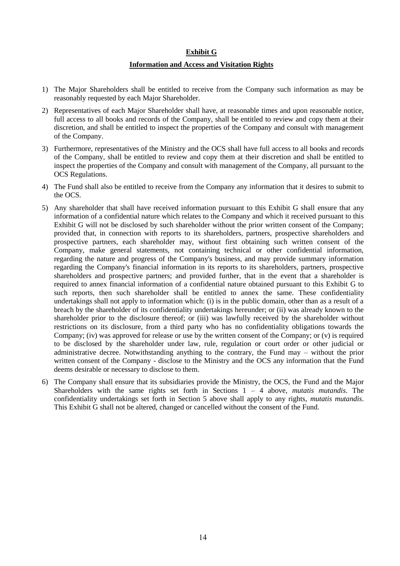#### **Exhibit G**

#### **Information and Access and Visitation Rights**

- 1) The Major Shareholders shall be entitled to receive from the Company such information as may be reasonably requested by each Major Shareholder.
- 2) Representatives of each Major Shareholder shall have, at reasonable times and upon reasonable notice, full access to all books and records of the Company, shall be entitled to review and copy them at their discretion, and shall be entitled to inspect the properties of the Company and consult with management of the Company.
- 3) Furthermore, representatives of the Ministry and the OCS shall have full access to all books and records of the Company, shall be entitled to review and copy them at their discretion and shall be entitled to inspect the properties of the Company and consult with management of the Company, all pursuant to the OCS Regulations.
- 4) The Fund shall also be entitled to receive from the Company any information that it desires to submit to the OCS.
- 5) Any shareholder that shall have received information pursuant to this Exhibit G shall ensure that any information of a confidential nature which relates to the Company and which it received pursuant to this Exhibit G will not be disclosed by such shareholder without the prior written consent of the Company; provided that, in connection with reports to its shareholders, partners, prospective shareholders and prospective partners, each shareholder may, without first obtaining such written consent of the Company, make general statements, not containing technical or other confidential information, regarding the nature and progress of the Company's business, and may provide summary information regarding the Company's financial information in its reports to its shareholders, partners, prospective shareholders and prospective partners; and provided further, that in the event that a shareholder is required to annex financial information of a confidential nature obtained pursuant to this Exhibit G to such reports, then such shareholder shall be entitled to annex the same. These confidentiality undertakings shall not apply to information which: (i) is in the public domain, other than as a result of a breach by the shareholder of its confidentiality undertakings hereunder; or (ii) was already known to the shareholder prior to the disclosure thereof; or (iii) was lawfully received by the shareholder without restrictions on its disclosure, from a third party who has no confidentiality obligations towards the Company; (iv) was approved for release or use by the written consent of the Company; or (v) is required to be disclosed by the shareholder under law, rule, regulation or court order or other judicial or administrative decree. Notwithstanding anything to the contrary, the Fund may – without the prior written consent of the Company - disclose to the Ministry and the OCS any information that the Fund deems desirable or necessary to disclose to them.
- 6) The Company shall ensure that its subsidiaries provide the Ministry, the OCS, the Fund and the Major Shareholders with the same rights set forth in Sections 1 – 4 above, *mutatis mutandis*. The confidentiality undertakings set forth in Section 5 above shall apply to any rights, *mutatis mutandis*. This Exhibit G shall not be altered, changed or cancelled without the consent of the Fund.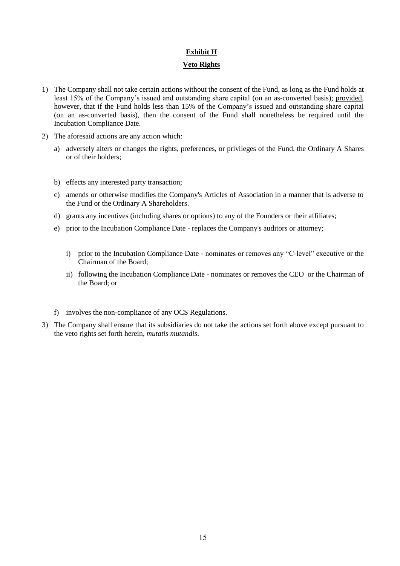## **Exhibit H**

#### **Veto Rights**

- 1) The Company shall not take certain actions without the consent of the Fund, as long as the Fund holds at least 15% of the Company's issued and outstanding share capital (on an as-converted basis); provided, however, that if the Fund holds less than 15% of the Company's issued and outstanding share capital (on an as-converted basis), then the consent of the Fund shall nonetheless be required until the Incubation Compliance Date.
- 2) The aforesaid actions are any action which:
	- a) adversely alters or changes the rights, preferences, or privileges of the Fund, the Ordinary A Shares or of their holders;
	- b) effects any interested party transaction;
	- c) amends or otherwise modifies the Company's Articles of Association in a manner that is adverse to the Fund or the Ordinary A Shareholders.
	- d) grants any incentives (including shares or options) to any of the Founders or their affiliates;
	- e) prior to the Incubation Compliance Date replaces the Company's auditors or attorney;
		- i) prior to the Incubation Compliance Date nominates or removes any "C-level" executive or the Chairman of the Board;
		- ii) following the Incubation Compliance Date nominates or removes the CEO or the Chairman of the Board; or
	- f) involves the non-compliance of any OCS Regulations.
- 3) The Company shall ensure that its subsidiaries do not take the actions set forth above except pursuant to the veto rights set forth herein, *mutatis mutandis*.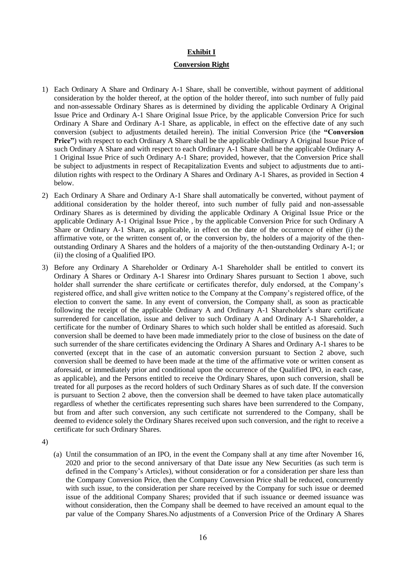### **Exhibit I Conversion Right**

- 1) Each Ordinary A Share and Ordinary A-1 Share, shall be convertible, without payment of additional consideration by the holder thereof, at the option of the holder thereof, into such number of fully paid and non-assessable Ordinary Shares as is determined by dividing the applicable Ordinary A Original Issue Price and Ordinary A-1 Share Original Issue Price, by the applicable Conversion Price for such Ordinary A Share and Ordinary A-1 Share, as applicable, in effect on the effective date of any such conversion (subject to adjustments detailed herein). The initial Conversion Price (the **"Conversion Price"**) with respect to each Ordinary A Share shall be the applicable Ordinary A Original Issue Price of such Ordinary A Share and with respect to each Ordinary A-1 Share shall be the applicable Ordinary A-1 Original Issue Price of such Ordinary A-1 Share; provided, however, that the Conversion Price shall be subject to adjustments in respect of Recapitalization Events and subject to adjustments due to antidilution rights with respect to the Ordinary A Shares and Ordinary A-1 Shares, as provided in Section 4 below.
- 2) Each Ordinary A Share and Ordinary A-1 Share shall automatically be converted, without payment of additional consideration by the holder thereof, into such number of fully paid and non-assessable Ordinary Shares as is determined by dividing the applicable Ordinary A Original Issue Price or the applicable Ordinary A-1 Original Issue Price , by the applicable Conversion Price for such Ordinary A Share or Ordinary A-1 Share, as applicable, in effect on the date of the occurrence of either (i) the affirmative vote, or the written consent of, or the conversion by, the holders of a majority of the thenoutstanding Ordinary A Shares and the holders of a majority of the then-outstanding Ordinary A-1; or (ii) the closing of a Qualified IPO.
- 3) Before any Ordinary A Shareholder or Ordinary A-1 Shareholder shall be entitled to convert its Ordinary A Shares or Ordinary A-1 Sharesr into Ordinary Shares pursuant to Section 1 above, such holder shall surrender the share certificate or certificates therefor, duly endorsed, at the Company's registered office, and shall give written notice to the Company at the Company's registered office, of the election to convert the same. In any event of conversion, the Company shall, as soon as practicable following the receipt of the applicable Ordinary A and Ordinary A-1 Shareholder's share certificate surrendered for cancellation, issue and deliver to such Ordinary A and Ordinary A-1 Shareholder, a certificate for the number of Ordinary Shares to which such holder shall be entitled as aforesaid. Such conversion shall be deemed to have been made immediately prior to the close of business on the date of such surrender of the share certificates evidencing the Ordinary A Shares and Ordinary A-1 shares to be converted (except that in the case of an automatic conversion pursuant to Section 2 above, such conversion shall be deemed to have been made at the time of the affirmative vote or written consent as aforesaid, or immediately prior and conditional upon the occurrence of the Qualified IPO, in each case, as applicable), and the Persons entitled to receive the Ordinary Shares, upon such conversion, shall be treated for all purposes as the record holders of such Ordinary Shares as of such date. If the conversion is pursuant to Section 2 above, then the conversion shall be deemed to have taken place automatically regardless of whether the certificates representing such shares have been surrendered to the Company, but from and after such conversion, any such certificate not surrendered to the Company, shall be deemed to evidence solely the Ordinary Shares received upon such conversion, and the right to receive a certificate for such Ordinary Shares.

4)

(a) Until the consummation of an IPO, in the event the Company shall at any time after November 16, 2020 and prior to the second anniversary of that Date issue any New Securities (as such term is defined in the Company's Articles), without consideration or for a consideration per share less than the Company Conversion Price, then the Company Conversion Price shall be reduced, concurrently with such issue, to the consideration per share received by the Company for such issue or deemed issue of the additional Company Shares; provided that if such issuance or deemed issuance was without consideration, then the Company shall be deemed to have received an amount equal to the par value of the Company Shares.No adjustments of a Conversion Price of the Ordinary A Shares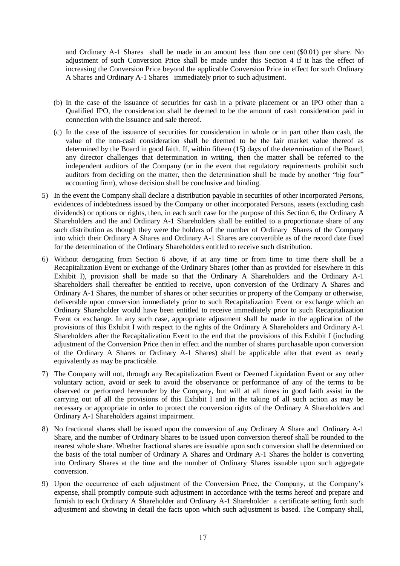and Ordinary A-1 Shares shall be made in an amount less than one cent (\$0.01) per share. No adjustment of such Conversion Price shall be made under this Section 4 if it has the effect of increasing the Conversion Price beyond the applicable Conversion Price in effect for such Ordinary A Shares and Ordinary A-1 Shares immediately prior to such adjustment.

- (b) In the case of the issuance of securities for cash in a private placement or an IPO other than a Qualified IPO, the consideration shall be deemed to be the amount of cash consideration paid in connection with the issuance and sale thereof.
- (c) In the case of the issuance of securities for consideration in whole or in part other than cash, the value of the non-cash consideration shall be deemed to be the fair market value thereof as determined by the Board in good faith. If, within fifteen (15) days of the determination of the Board, any director challenges that determination in writing, then the matter shall be referred to the independent auditors of the Company (or in the event that regulatory requirements prohibit such auditors from deciding on the matter, then the determination shall be made by another "big four" accounting firm), whose decision shall be conclusive and binding.
- 5) In the event the Company shall declare a distribution payable in securities of other incorporated Persons, evidences of indebtedness issued by the Company or other incorporated Persons, assets (excluding cash dividends) or options or rights, then, in each such case for the purpose of this Section 6, the Ordinary A Shareholders and the and Ordinary A-1 Shareholders shall be entitled to a proportionate share of any such distribution as though they were the holders of the number of Ordinary Shares of the Company into which their Ordinary A Shares and Ordinary A-1 Shares are convertible as of the record date fixed for the determination of the Ordinary Shareholders entitled to receive such distribution.
- 6) Without derogating from Section 6 above, if at any time or from time to time there shall be a Recapitalization Event or exchange of the Ordinary Shares (other than as provided for elsewhere in this Exhibit I), provision shall be made so that the Ordinary A Shareholders and the Ordinary A-1 Shareholders shall thereafter be entitled to receive, upon conversion of the Ordinary A Shares and Ordinary A-1 Shares, the number of shares or other securities or property of the Company or otherwise, deliverable upon conversion immediately prior to such Recapitalization Event or exchange which an Ordinary Shareholder would have been entitled to receive immediately prior to such Recapitalization Event or exchange. In any such case, appropriate adjustment shall be made in the application of the provisions of this Exhibit I with respect to the rights of the Ordinary A Shareholders and Ordinary A-1 Shareholders after the Recapitalization Event to the end that the provisions of this Exhibit I (including adjustment of the Conversion Price then in effect and the number of shares purchasable upon conversion of the Ordinary A Shares or Ordinary A-1 Shares) shall be applicable after that event as nearly equivalently as may be practicable.
- 7) The Company will not, through any Recapitalization Event or Deemed Liquidation Event or any other voluntary action, avoid or seek to avoid the observance or performance of any of the terms to be observed or performed hereunder by the Company, but will at all times in good faith assist in the carrying out of all the provisions of this Exhibit I and in the taking of all such action as may be necessary or appropriate in order to protect the conversion rights of the Ordinary A Shareholders and Ordinary A-1 Shareholders against impairment.
- 8) No fractional shares shall be issued upon the conversion of any Ordinary A Share and Ordinary A-1 Share, and the number of Ordinary Shares to be issued upon conversion thereof shall be rounded to the nearest whole share. Whether fractional shares are issuable upon such conversion shall be determined on the basis of the total number of Ordinary A Shares and Ordinary A-1 Shares the holder is converting into Ordinary Shares at the time and the number of Ordinary Shares issuable upon such aggregate conversion.
- 9) Upon the occurrence of each adjustment of the Conversion Price, the Company, at the Company's expense, shall promptly compute such adjustment in accordance with the terms hereof and prepare and furnish to each Ordinary A Shareholder and Ordinary A-1 Shareholder a certificate setting forth such adjustment and showing in detail the facts upon which such adjustment is based. The Company shall,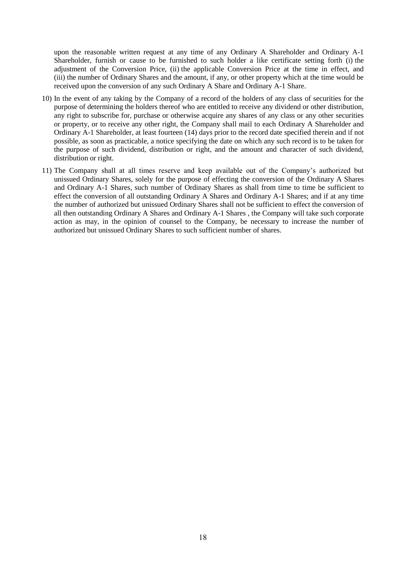upon the reasonable written request at any time of any Ordinary A Shareholder and Ordinary A-1 Shareholder, furnish or cause to be furnished to such holder a like certificate setting forth (i) the adjustment of the Conversion Price, (ii) the applicable Conversion Price at the time in effect, and (iii) the number of Ordinary Shares and the amount, if any, or other property which at the time would be received upon the conversion of any such Ordinary A Share and Ordinary A-1 Share.

- 10) In the event of any taking by the Company of a record of the holders of any class of securities for the purpose of determining the holders thereof who are entitled to receive any dividend or other distribution, any right to subscribe for, purchase or otherwise acquire any shares of any class or any other securities or property, or to receive any other right, the Company shall mail to each Ordinary A Shareholder and Ordinary A-1 Shareholder, at least fourteen (14) days prior to the record date specified therein and if not possible, as soon as practicable, a notice specifying the date on which any such record is to be taken for the purpose of such dividend, distribution or right, and the amount and character of such dividend, distribution or right.
- 11) The Company shall at all times reserve and keep available out of the Company's authorized but unissued Ordinary Shares, solely for the purpose of effecting the conversion of the Ordinary A Shares and Ordinary A-1 Shares, such number of Ordinary Shares as shall from time to time be sufficient to effect the conversion of all outstanding Ordinary A Shares and Ordinary A-1 Shares; and if at any time the number of authorized but unissued Ordinary Shares shall not be sufficient to effect the conversion of all then outstanding Ordinary A Shares and Ordinary A-1 Shares , the Company will take such corporate action as may, in the opinion of counsel to the Company, be necessary to increase the number of authorized but unissued Ordinary Shares to such sufficient number of shares.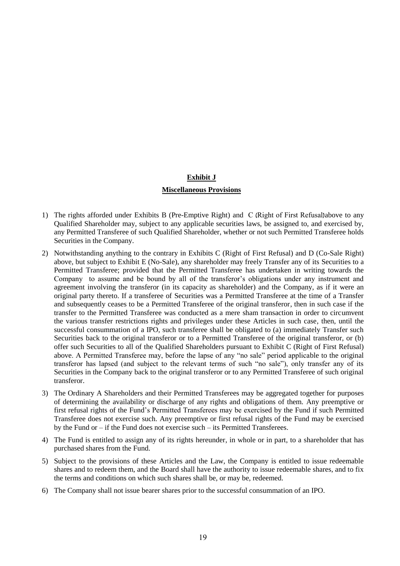#### **Exhibit J**

#### **Miscellaneous Provisions**

- 1) The rights afforded under Exhibits B (Pre-Emptive Right) and C (Right of First Refusal)above to any Qualified Shareholder may, subject to any applicable securities laws, be assigned to, and exercised by, any Permitted Transferee of such Qualified Shareholder, whether or not such Permitted Transferee holds Securities in the Company.
- 2) Notwithstanding anything to the contrary in Exhibits C (Right of First Refusal) and D (Co-Sale Right) above, but subject to Exhibit E (No-Sale), any shareholder may freely Transfer any of its Securities to a Permitted Transferee; provided that the Permitted Transferee has undertaken in writing towards the Company to assume and be bound by all of the transferor's obligations under any instrument and agreement involving the transferor (in its capacity as shareholder) and the Company, as if it were an original party thereto. If a transferee of Securities was a Permitted Transferee at the time of a Transfer and subsequently ceases to be a Permitted Transferee of the original transferor, then in such case if the transfer to the Permitted Transferee was conducted as a mere sham transaction in order to circumvent the various transfer restrictions rights and privileges under these Articles in such case, then, until the successful consummation of a IPO, such transferee shall be obligated to (a) immediately Transfer such Securities back to the original transferor or to a Permitted Transferee of the original transferor, or (b) offer such Securities to all of the Qualified Shareholders pursuant to Exhibit C (Right of First Refusal) above. A Permitted Transferee may, before the lapse of any "no sale" period applicable to the original transferor has lapsed (and subject to the relevant terms of such "no sale"), only transfer any of its Securities in the Company back to the original transferor or to any Permitted Transferee of such original transferor.
- 3) The Ordinary A Shareholders and their Permitted Transferees may be aggregated together for purposes of determining the availability or discharge of any rights and obligations of them. Any preemptive or first refusal rights of the Fund's Permitted Transferees may be exercised by the Fund if such Permitted Transferee does not exercise such. Any preemptive or first refusal rights of the Fund may be exercised by the Fund or – if the Fund does not exercise such – its Permitted Transferees.
- 4) The Fund is entitled to assign any of its rights hereunder, in whole or in part, to a shareholder that has purchased shares from the Fund.
- 5) Subject to the provisions of these Articles and the Law, the Company is entitled to issue redeemable shares and to redeem them, and the Board shall have the authority to issue redeemable shares, and to fix the terms and conditions on which such shares shall be, or may be, redeemed.
- 6) The Company shall not issue bearer shares prior to the successful consummation of an IPO.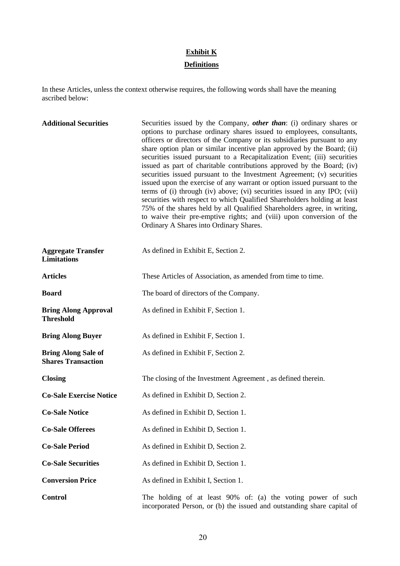# **Exhibit K**

### **Definitions**

In these Articles, unless the context otherwise requires, the following words shall have the meaning ascribed below:

| <b>Additional Securities</b>                            | Securities issued by the Company, <i>other than</i> : (i) ordinary shares or<br>options to purchase ordinary shares issued to employees, consultants,<br>officers or directors of the Company or its subsidiaries pursuant to any<br>share option plan or similar incentive plan approved by the Board; (ii)<br>securities issued pursuant to a Recapitalization Event; (iii) securities<br>issued as part of charitable contributions approved by the Board; (iv)<br>securities issued pursuant to the Investment Agreement; (v) securities<br>issued upon the exercise of any warrant or option issued pursuant to the<br>terms of (i) through (iv) above; (vi) securities issued in any IPO; (vii)<br>securities with respect to which Qualified Shareholders holding at least<br>75% of the shares held by all Qualified Shareholders agree, in writing,<br>to waive their pre-emptive rights; and (viii) upon conversion of the<br>Ordinary A Shares into Ordinary Shares. |
|---------------------------------------------------------|---------------------------------------------------------------------------------------------------------------------------------------------------------------------------------------------------------------------------------------------------------------------------------------------------------------------------------------------------------------------------------------------------------------------------------------------------------------------------------------------------------------------------------------------------------------------------------------------------------------------------------------------------------------------------------------------------------------------------------------------------------------------------------------------------------------------------------------------------------------------------------------------------------------------------------------------------------------------------------|
| <b>Aggregate Transfer</b><br><b>Limitations</b>         | As defined in Exhibit E, Section 2.                                                                                                                                                                                                                                                                                                                                                                                                                                                                                                                                                                                                                                                                                                                                                                                                                                                                                                                                             |
| <b>Articles</b>                                         | These Articles of Association, as amended from time to time.                                                                                                                                                                                                                                                                                                                                                                                                                                                                                                                                                                                                                                                                                                                                                                                                                                                                                                                    |
| <b>Board</b>                                            | The board of directors of the Company.                                                                                                                                                                                                                                                                                                                                                                                                                                                                                                                                                                                                                                                                                                                                                                                                                                                                                                                                          |
| <b>Bring Along Approval</b><br><b>Threshold</b>         | As defined in Exhibit F, Section 1.                                                                                                                                                                                                                                                                                                                                                                                                                                                                                                                                                                                                                                                                                                                                                                                                                                                                                                                                             |
| <b>Bring Along Buyer</b>                                | As defined in Exhibit F, Section 1.                                                                                                                                                                                                                                                                                                                                                                                                                                                                                                                                                                                                                                                                                                                                                                                                                                                                                                                                             |
| <b>Bring Along Sale of</b><br><b>Shares Transaction</b> | As defined in Exhibit F, Section 2.                                                                                                                                                                                                                                                                                                                                                                                                                                                                                                                                                                                                                                                                                                                                                                                                                                                                                                                                             |
| <b>Closing</b>                                          | The closing of the Investment Agreement, as defined therein.                                                                                                                                                                                                                                                                                                                                                                                                                                                                                                                                                                                                                                                                                                                                                                                                                                                                                                                    |
| <b>Co-Sale Exercise Notice</b>                          | As defined in Exhibit D, Section 2.                                                                                                                                                                                                                                                                                                                                                                                                                                                                                                                                                                                                                                                                                                                                                                                                                                                                                                                                             |
| <b>Co-Sale Notice</b>                                   | As defined in Exhibit D, Section 1.                                                                                                                                                                                                                                                                                                                                                                                                                                                                                                                                                                                                                                                                                                                                                                                                                                                                                                                                             |
| <b>Co-Sale Offerees</b>                                 | As defined in Exhibit D, Section 1.                                                                                                                                                                                                                                                                                                                                                                                                                                                                                                                                                                                                                                                                                                                                                                                                                                                                                                                                             |
| <b>Co-Sale Period</b>                                   | As defined in Exhibit D, Section 2.                                                                                                                                                                                                                                                                                                                                                                                                                                                                                                                                                                                                                                                                                                                                                                                                                                                                                                                                             |
| <b>Co-Sale Securities</b>                               | As defined in Exhibit D, Section 1.                                                                                                                                                                                                                                                                                                                                                                                                                                                                                                                                                                                                                                                                                                                                                                                                                                                                                                                                             |
| <b>Conversion Price</b>                                 | As defined in Exhibit I, Section 1.                                                                                                                                                                                                                                                                                                                                                                                                                                                                                                                                                                                                                                                                                                                                                                                                                                                                                                                                             |
| <b>Control</b>                                          | The holding of at least 90% of: (a) the voting power of such<br>incorporated Person, or (b) the issued and outstanding share capital of                                                                                                                                                                                                                                                                                                                                                                                                                                                                                                                                                                                                                                                                                                                                                                                                                                         |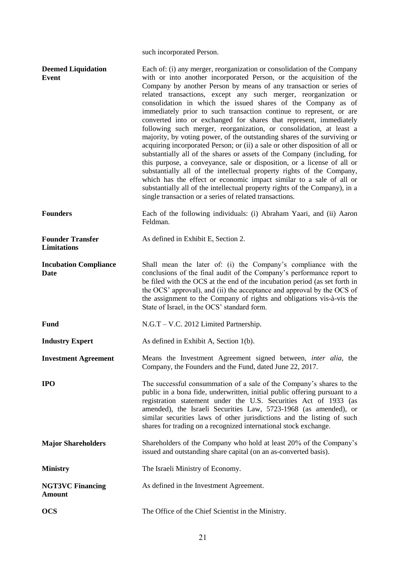|                                               | such incorporated Person.                                                                                                                                                                                                                                                                                                                                                                                                                                                                                                                                                                                                                                                                                                                                                                                                                                                                                                                                                                                                                                                                                                                                                                 |
|-----------------------------------------------|-------------------------------------------------------------------------------------------------------------------------------------------------------------------------------------------------------------------------------------------------------------------------------------------------------------------------------------------------------------------------------------------------------------------------------------------------------------------------------------------------------------------------------------------------------------------------------------------------------------------------------------------------------------------------------------------------------------------------------------------------------------------------------------------------------------------------------------------------------------------------------------------------------------------------------------------------------------------------------------------------------------------------------------------------------------------------------------------------------------------------------------------------------------------------------------------|
| <b>Deemed Liquidation</b><br><b>Event</b>     | Each of: (i) any merger, reorganization or consolidation of the Company<br>with or into another incorporated Person, or the acquisition of the<br>Company by another Person by means of any transaction or series of<br>related transactions, except any such merger, reorganization or<br>consolidation in which the issued shares of the Company as of<br>immediately prior to such transaction continue to represent, or are<br>converted into or exchanged for shares that represent, immediately<br>following such merger, reorganization, or consolidation, at least a<br>majority, by voting power, of the outstanding shares of the surviving or<br>acquiring incorporated Person; or (ii) a sale or other disposition of all or<br>substantially all of the shares or assets of the Company (including, for<br>this purpose, a conveyance, sale or disposition, or a license of all or<br>substantially all of the intellectual property rights of the Company,<br>which has the effect or economic impact similar to a sale of all or<br>substantially all of the intellectual property rights of the Company), in a<br>single transaction or a series of related transactions. |
| <b>Founders</b>                               | Each of the following individuals: (i) Abraham Yaari, and (ii) Aaron<br>Feldman.                                                                                                                                                                                                                                                                                                                                                                                                                                                                                                                                                                                                                                                                                                                                                                                                                                                                                                                                                                                                                                                                                                          |
| <b>Founder Transfer</b><br><b>Limitations</b> | As defined in Exhibit E, Section 2.                                                                                                                                                                                                                                                                                                                                                                                                                                                                                                                                                                                                                                                                                                                                                                                                                                                                                                                                                                                                                                                                                                                                                       |
| <b>Incubation Compliance</b><br>Date          | Shall mean the later of: (i) the Company's compliance with the<br>conclusions of the final audit of the Company's performance report to<br>be filed with the OCS at the end of the incubation period (as set forth in<br>the OCS' approval), and (ii) the acceptance and approval by the OCS of<br>the assignment to the Company of rights and obligations vis-à-vis the<br>State of Israel, in the OCS' standard form.                                                                                                                                                                                                                                                                                                                                                                                                                                                                                                                                                                                                                                                                                                                                                                   |
| <b>Fund</b>                                   | N.G.T – V.C. 2012 Limited Partnership.                                                                                                                                                                                                                                                                                                                                                                                                                                                                                                                                                                                                                                                                                                                                                                                                                                                                                                                                                                                                                                                                                                                                                    |
| <b>Industry Expert</b>                        | As defined in Exhibit A, Section 1(b).                                                                                                                                                                                                                                                                                                                                                                                                                                                                                                                                                                                                                                                                                                                                                                                                                                                                                                                                                                                                                                                                                                                                                    |
| <b>Investment Agreement</b>                   | Means the Investment Agreement signed between, inter alia, the<br>Company, the Founders and the Fund, dated June 22, 2017.                                                                                                                                                                                                                                                                                                                                                                                                                                                                                                                                                                                                                                                                                                                                                                                                                                                                                                                                                                                                                                                                |
| <b>IPO</b>                                    | The successful consummation of a sale of the Company's shares to the<br>public in a bona fide, underwritten, initial public offering pursuant to a<br>registration statement under the U.S. Securities Act of 1933 (as<br>amended), the Israeli Securities Law, 5723-1968 (as amended), or<br>similar securities laws of other jurisdictions and the listing of such<br>shares for trading on a recognized international stock exchange.                                                                                                                                                                                                                                                                                                                                                                                                                                                                                                                                                                                                                                                                                                                                                  |
| <b>Major Shareholders</b>                     | Shareholders of the Company who hold at least 20% of the Company's<br>issued and outstanding share capital (on an as-converted basis).                                                                                                                                                                                                                                                                                                                                                                                                                                                                                                                                                                                                                                                                                                                                                                                                                                                                                                                                                                                                                                                    |
| <b>Ministry</b>                               | The Israeli Ministry of Economy.                                                                                                                                                                                                                                                                                                                                                                                                                                                                                                                                                                                                                                                                                                                                                                                                                                                                                                                                                                                                                                                                                                                                                          |
| <b>NGT3VC Financing</b><br><b>Amount</b>      | As defined in the Investment Agreement.                                                                                                                                                                                                                                                                                                                                                                                                                                                                                                                                                                                                                                                                                                                                                                                                                                                                                                                                                                                                                                                                                                                                                   |
| <b>OCS</b>                                    | The Office of the Chief Scientist in the Ministry.                                                                                                                                                                                                                                                                                                                                                                                                                                                                                                                                                                                                                                                                                                                                                                                                                                                                                                                                                                                                                                                                                                                                        |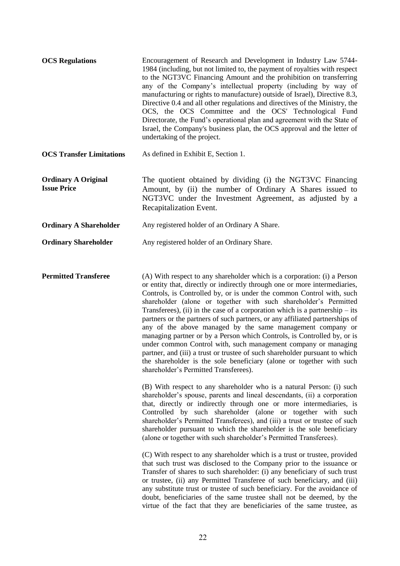| <b>OCS Regulations</b>                           | Encouragement of Research and Development in Industry Law 5744-<br>1984 (including, but not limited to, the payment of royalties with respect<br>to the NGT3VC Financing Amount and the prohibition on transferring<br>any of the Company's intellectual property (including by way of<br>manufacturing or rights to manufacture) outside of Israel), Directive 8.3,<br>Directive 0.4 and all other regulations and directives of the Ministry, the<br>OCS, the OCS Committee and the OCS' Technological Fund<br>Directorate, the Fund's operational plan and agreement with the State of<br>Israel, the Company's business plan, the OCS approval and the letter of<br>undertaking of the project. |
|--------------------------------------------------|-----------------------------------------------------------------------------------------------------------------------------------------------------------------------------------------------------------------------------------------------------------------------------------------------------------------------------------------------------------------------------------------------------------------------------------------------------------------------------------------------------------------------------------------------------------------------------------------------------------------------------------------------------------------------------------------------------|
| <b>OCS Transfer Limitations</b>                  | As defined in Exhibit E, Section 1.                                                                                                                                                                                                                                                                                                                                                                                                                                                                                                                                                                                                                                                                 |
| <b>Ordinary A Original</b><br><b>Issue Price</b> | The quotient obtained by dividing (i) the NGT3VC Financing<br>Amount, by (ii) the number of Ordinary A Shares issued to<br>NGT3VC under the Investment Agreement, as adjusted by a<br>Recapitalization Event.                                                                                                                                                                                                                                                                                                                                                                                                                                                                                       |
| <b>Ordinary A Shareholder</b>                    | Any registered holder of an Ordinary A Share.                                                                                                                                                                                                                                                                                                                                                                                                                                                                                                                                                                                                                                                       |
| <b>Ordinary Shareholder</b>                      | Any registered holder of an Ordinary Share.                                                                                                                                                                                                                                                                                                                                                                                                                                                                                                                                                                                                                                                         |

**Permitted Transferee** (A) With respect to any shareholder which is a corporation: (i) a Person or entity that, directly or indirectly through one or more intermediaries, Controls, is Controlled by, or is under the common Control with, such shareholder (alone or together with such shareholder's Permitted Transferees), (ii) in the case of a corporation which is a partnership – its partners or the partners of such partners, or any affiliated partnerships of any of the above managed by the same management company or managing partner or by a Person which Controls, is Controlled by, or is under common Control with, such management company or managing partner, and (iii) a trust or trustee of such shareholder pursuant to which the shareholder is the sole beneficiary (alone or together with such shareholder's Permitted Transferees).

> (B) With respect to any shareholder who is a natural Person: (i) such shareholder's spouse, parents and lineal descendants, (ii) a corporation that, directly or indirectly through one or more intermediaries, is Controlled by such shareholder (alone or together with such shareholder's Permitted Transferees), and (iii) a trust or trustee of such shareholder pursuant to which the shareholder is the sole beneficiary (alone or together with such shareholder's Permitted Transferees).

> (C) With respect to any shareholder which is a trust or trustee, provided that such trust was disclosed to the Company prior to the issuance or Transfer of shares to such shareholder: (i) any beneficiary of such trust or trustee, (ii) any Permitted Transferee of such beneficiary, and (iii) any substitute trust or trustee of such beneficiary. For the avoidance of doubt, beneficiaries of the same trustee shall not be deemed, by the virtue of the fact that they are beneficiaries of the same trustee, as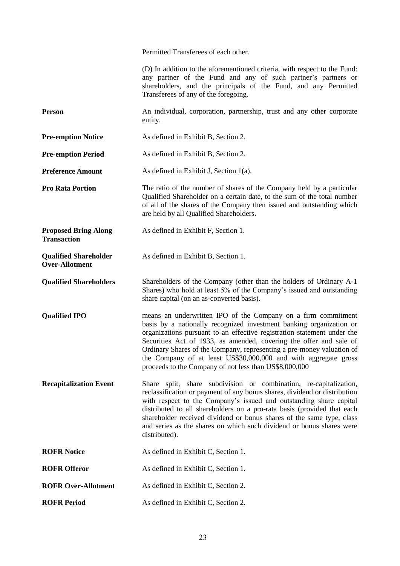Permitted Transferees of each other.

(D) In addition to the aforementioned criteria, with respect to the Fund: any partner of the Fund and any of such partner's partners or shareholders, and the principals of the Fund, and any Permitted Transferees of any of the foregoing.

**Person An** individual, corporation, partnership, trust and any other corporate entity.

**Pre-emption Notice** As defined in Exhibit B, Section 2.

**Pre-emption Period** As defined in Exhibit B, Section 2.

**Preference Amount** As defined in Exhibit J, Section 1(a).

**Pro Rata Portion** The ratio of the number of shares of the Company held by a particular Qualified Shareholder on a certain date, to the sum of the total number of all of the shares of the Company then issued and outstanding which are held by all Qualified Shareholders.

**Proposed Bring Along Transaction** As defined in Exhibit F, Section 1.

**Qualified Shareholder Over-Allotment** As defined in Exhibit B, Section 1.

**Qualified Shareholders** Shareholders of the Company (other than the holders of Ordinary A-1 Shares) who hold at least 5% of the Company's issued and outstanding share capital (on an as-converted basis).

**Qualified IPO** means an underwritten IPO of the Company on a firm commitment basis by a nationally recognized investment banking organization or organizations pursuant to an effective registration statement under the Securities Act of 1933, as amended, covering the offer and sale of Ordinary Shares of the Company, representing a pre-money valuation of the Company of at least US\$30,000,000 and with aggregate gross proceeds to the Company of not less than US\$8,000,000

**Recapitalization Event** Share split, share subdivision or combination, re-capitalization, reclassification or payment of any bonus shares, dividend or distribution with respect to the Company's issued and outstanding share capital distributed to all shareholders on a pro-rata basis (provided that each shareholder received dividend or bonus shares of the same type, class and series as the shares on which such dividend or bonus shares were distributed).

**ROFR Notice** As defined in Exhibit C, Section 1.

**ROFR Offeror** As defined in Exhibit C, Section 1.

**ROFR Over-Allotment** As defined in Exhibit C, Section 2.

**ROFR Period** As defined in Exhibit C, Section 2.